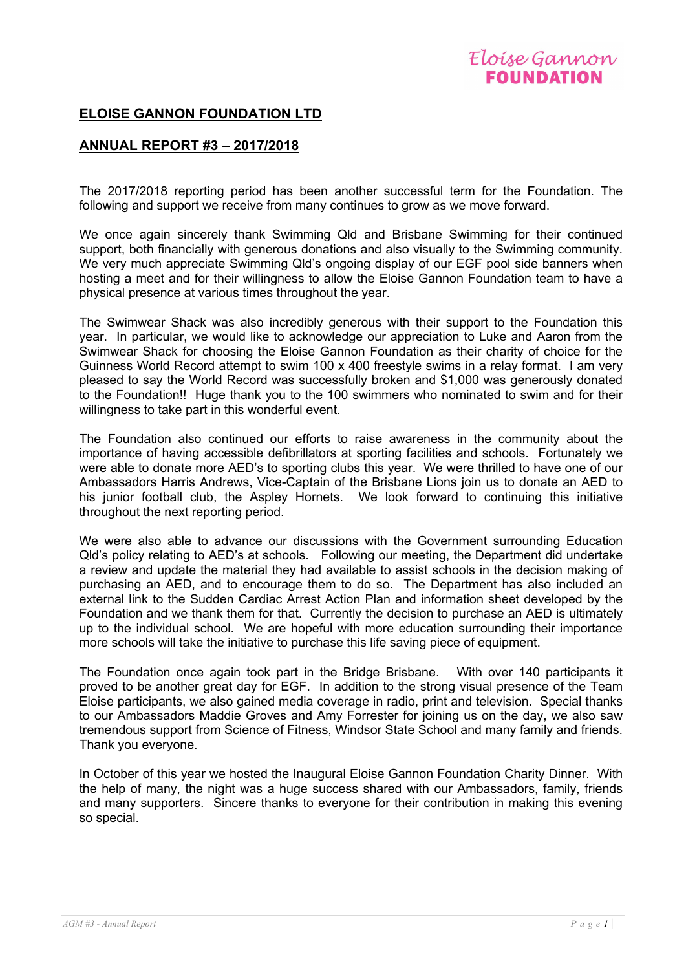## **ELOISE GANNON FOUNDATION LTD**

## **ANNUAL REPORT #3 – 2017/2018**

The 2017/2018 reporting period has been another successful term for the Foundation. The following and support we receive from many continues to grow as we move forward.

We once again sincerely thank Swimming Qld and Brisbane Swimming for their continued support, both financially with generous donations and also visually to the Swimming community. We very much appreciate Swimming Qld's ongoing display of our EGF pool side banners when hosting a meet and for their willingness to allow the Eloise Gannon Foundation team to have a physical presence at various times throughout the year.

The Swimwear Shack was also incredibly generous with their support to the Foundation this year. In particular, we would like to acknowledge our appreciation to Luke and Aaron from the Swimwear Shack for choosing the Eloise Gannon Foundation as their charity of choice for the Guinness World Record attempt to swim 100 x 400 freestyle swims in a relay format. I am very pleased to say the World Record was successfully broken and \$1,000 was generously donated to the Foundation!! Huge thank you to the 100 swimmers who nominated to swim and for their willingness to take part in this wonderful event.

The Foundation also continued our efforts to raise awareness in the community about the importance of having accessible defibrillators at sporting facilities and schools. Fortunately we were able to donate more AED's to sporting clubs this year. We were thrilled to have one of our Ambassadors Harris Andrews, Vice-Captain of the Brisbane Lions join us to donate an AED to his junior football club, the Aspley Hornets. We look forward to continuing this initiative throughout the next reporting period.

We were also able to advance our discussions with the Government surrounding Education Qld's policy relating to AED's at schools. Following our meeting, the Department did undertake a review and update the material they had available to assist schools in the decision making of purchasing an AED, and to encourage them to do so. The Department has also included an external link to the Sudden Cardiac Arrest Action Plan and information sheet developed by the Foundation and we thank them for that. Currently the decision to purchase an AED is ultimately up to the individual school. We are hopeful with more education surrounding their importance more schools will take the initiative to purchase this life saving piece of equipment.

The Foundation once again took part in the Bridge Brisbane. With over 140 participants it proved to be another great day for EGF. In addition to the strong visual presence of the Team Eloise participants, we also gained media coverage in radio, print and television. Special thanks to our Ambassadors Maddie Groves and Amy Forrester for joining us on the day, we also saw tremendous support from Science of Fitness, Windsor State School and many family and friends. Thank you everyone.

In October of this year we hosted the Inaugural Eloise Gannon Foundation Charity Dinner. With the help of many, the night was a huge success shared with our Ambassadors, family, friends and many supporters. Sincere thanks to everyone for their contribution in making this evening so special.